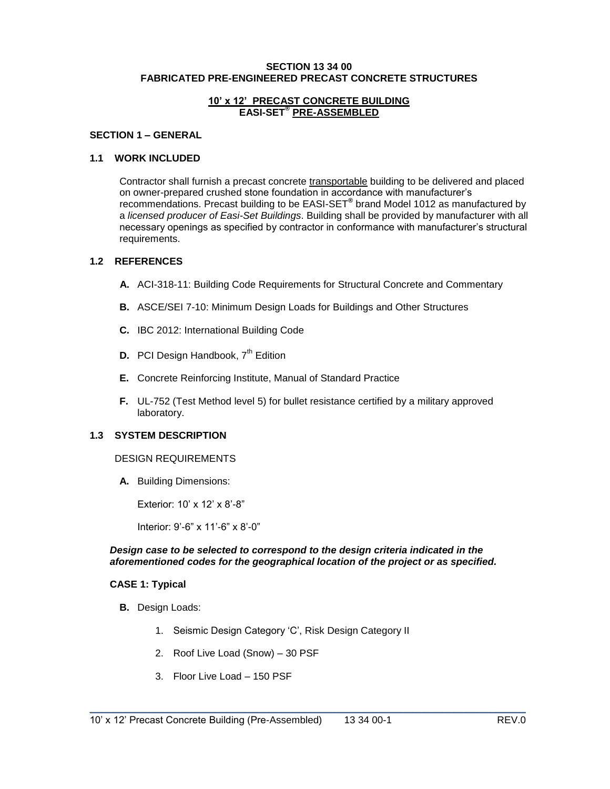#### **SECTION 13 34 00 FABRICATED PRE-ENGINEERED PRECAST CONCRETE STRUCTURES**

### **10' x 12' PRECAST CONCRETE BUILDING EASI-SET® PRE-ASSEMBLED**

### **SECTION 1 – GENERAL**

### **1.1 WORK INCLUDED**

Contractor shall furnish a precast concrete transportable building to be delivered and placed on owner-prepared crushed stone foundation in accordance with manufacturer's recommendations. Precast building to be EASI-SET**®** brand Model 1012 as manufactured by a *licensed producer of Easi-Set Buildings*. Building shall be provided by manufacturer with all necessary openings as specified by contractor in conformance with manufacturer's structural requirements.

### **1.2 REFERENCES**

- **A.** ACI-318-11: Building Code Requirements for Structural Concrete and Commentary
- **B.** ASCE/SEI 7-10: Minimum Design Loads for Buildings and Other Structures
- **C.** IBC 2012: International Building Code
- **D.** PCI Design Handbook, 7<sup>th</sup> Edition
- **E.** Concrete Reinforcing Institute, Manual of Standard Practice
- **F.** UL-752 (Test Method level 5) for bullet resistance certified by a military approved laboratory.

#### **1.3 SYSTEM DESCRIPTION**

#### DESIGN REQUIREMENTS

**A.** Building Dimensions:

Exterior: 10' x 12' x 8'-8"

Interior: 9'-6" x 11'-6" x 8'-0"

#### *Design case to be selected to correspond to the design criteria indicated in the aforementioned codes for the geographical location of the project or as specified.*

\_\_\_\_\_\_\_\_\_\_\_\_\_\_\_\_\_\_\_\_\_\_\_\_\_\_\_\_\_\_\_\_\_\_\_\_\_\_\_\_\_\_\_\_\_\_\_\_\_\_\_\_\_\_\_\_\_\_\_\_\_\_\_\_\_\_\_\_\_\_\_\_\_

### **CASE 1: Typical**

- **B.** Design Loads:
	- 1. Seismic Design Category 'C', Risk Design Category II
	- 2. Roof Live Load (Snow) 30 PSF
	- 3. Floor Live Load 150 PSF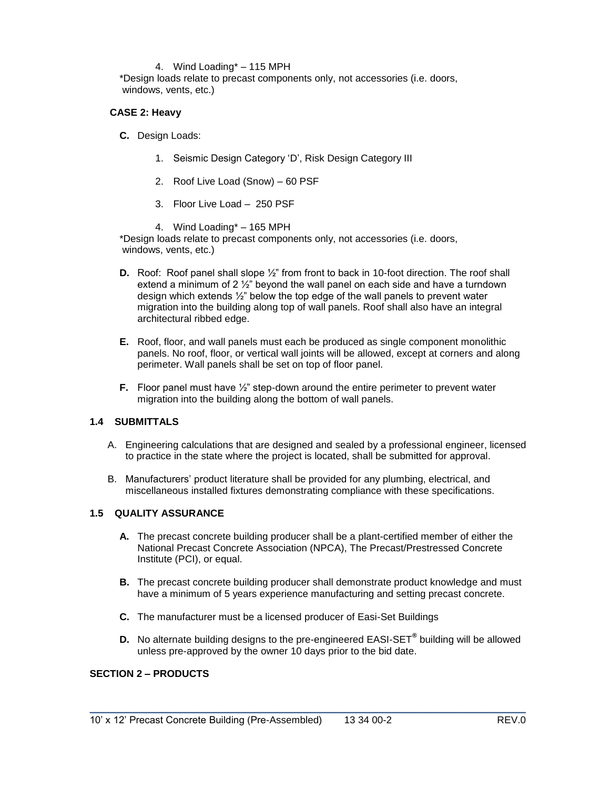### 4. Wind Loading\* – 115 MPH

\*Design loads relate to precast components only, not accessories (i.e. doors, windows, vents, etc.)

## **CASE 2: Heavy**

**C.** Design Loads:

- 1. Seismic Design Category 'D', Risk Design Category III
- 2. Roof Live Load (Snow) 60 PSF
- 3. Floor Live Load 250 PSF
- 4. Wind Loading\* 165 MPH

\*Design loads relate to precast components only, not accessories (i.e. doors, windows, vents, etc.)

- **D.** Roof: Roof panel shall slope  $\frac{1}{2}$ " from front to back in 10-foot direction. The roof shall extend a minimum of 2 ½" beyond the wall panel on each side and have a turndown design which extends ½" below the top edge of the wall panels to prevent water migration into the building along top of wall panels. Roof shall also have an integral architectural ribbed edge.
- **E.** Roof, floor, and wall panels must each be produced as single component monolithic panels. No roof, floor, or vertical wall joints will be allowed, except at corners and along perimeter. Wall panels shall be set on top of floor panel.
- **F.** Floor panel must have  $\frac{1}{2}$ " step-down around the entire perimeter to prevent water migration into the building along the bottom of wall panels.

## **1.4 SUBMITTALS**

- A. Engineering calculations that are designed and sealed by a professional engineer, licensed to practice in the state where the project is located, shall be submitted for approval.
- B. Manufacturers' product literature shall be provided for any plumbing, electrical, and miscellaneous installed fixtures demonstrating compliance with these specifications.

### **1.5 QUALITY ASSURANCE**

- **A.** The precast concrete building producer shall be a plant-certified member of either the National Precast Concrete Association (NPCA), The Precast/Prestressed Concrete Institute (PCI), or equal.
- **B.** The precast concrete building producer shall demonstrate product knowledge and must have a minimum of 5 years experience manufacturing and setting precast concrete.
- **C.** The manufacturer must be a licensed producer of Easi-Set Buildings
- **D.** No alternate building designs to the pre-engineered EASI-SET**®** building will be allowed unless pre-approved by the owner 10 days prior to the bid date.

\_\_\_\_\_\_\_\_\_\_\_\_\_\_\_\_\_\_\_\_\_\_\_\_\_\_\_\_\_\_\_\_\_\_\_\_\_\_\_\_\_\_\_\_\_\_\_\_\_\_\_\_\_\_\_\_\_\_\_\_\_\_\_\_\_\_\_\_\_\_\_\_\_

# **SECTION 2 – PRODUCTS**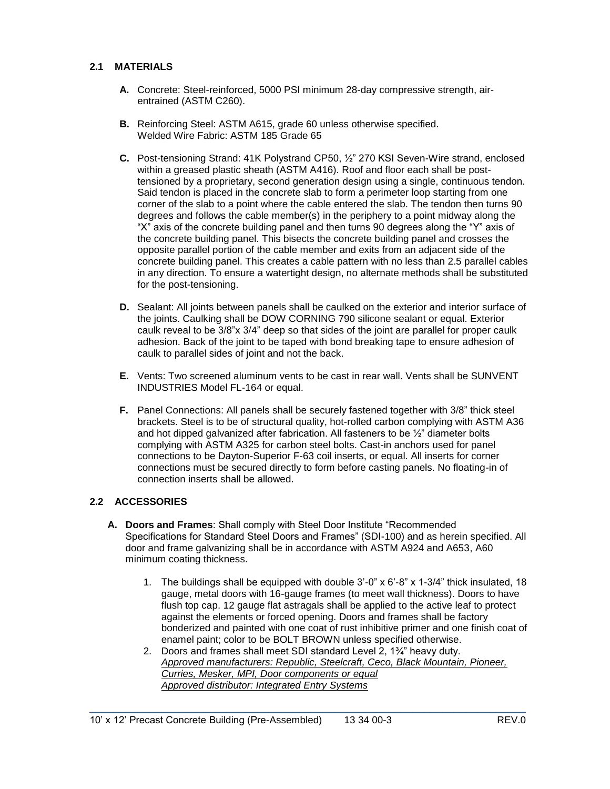# **2.1 MATERIALS**

- **A.** Concrete: Steel-reinforced, 5000 PSI minimum 28-day compressive strength, airentrained (ASTM C260).
- **B.** Reinforcing Steel: ASTM A615, grade 60 unless otherwise specified. Welded Wire Fabric: ASTM 185 Grade 65
- **C.** Post-tensioning Strand: 41K Polystrand CP50, ½" 270 KSI Seven-Wire strand, enclosed within a greased plastic sheath (ASTM A416). Roof and floor each shall be posttensioned by a proprietary, second generation design using a single, continuous tendon. Said tendon is placed in the concrete slab to form a perimeter loop starting from one corner of the slab to a point where the cable entered the slab. The tendon then turns 90 degrees and follows the cable member(s) in the periphery to a point midway along the "X" axis of the concrete building panel and then turns 90 degrees along the "Y" axis of the concrete building panel. This bisects the concrete building panel and crosses the opposite parallel portion of the cable member and exits from an adjacent side of the concrete building panel. This creates a cable pattern with no less than 2.5 parallel cables in any direction. To ensure a watertight design, no alternate methods shall be substituted for the post-tensioning.
- **D.** Sealant: All joints between panels shall be caulked on the exterior and interior surface of the joints. Caulking shall be DOW CORNING 790 silicone sealant or equal. Exterior caulk reveal to be 3/8"x 3/4" deep so that sides of the joint are parallel for proper caulk adhesion. Back of the joint to be taped with bond breaking tape to ensure adhesion of caulk to parallel sides of joint and not the back.
- **E.** Vents: Two screened aluminum vents to be cast in rear wall. Vents shall be SUNVENT INDUSTRIES Model FL-164 or equal.
- **F.** Panel Connections: All panels shall be securely fastened together with 3/8" thick steel brackets. Steel is to be of structural quality, hot-rolled carbon complying with ASTM A36 and hot dipped galvanized after fabrication. All fasteners to be ½" diameter bolts complying with ASTM A325 for carbon steel bolts. Cast-in anchors used for panel connections to be Dayton-Superior F-63 coil inserts, or equal. All inserts for corner connections must be secured directly to form before casting panels. No floating-in of connection inserts shall be allowed.

## **2.2 ACCESSORIES**

- **A. Doors and Frames**: Shall comply with Steel Door Institute "Recommended Specifications for Standard Steel Doors and Frames" (SDI-100) and as herein specified. All door and frame galvanizing shall be in accordance with ASTM A924 and A653, A60 minimum coating thickness.
	- 1. The buildings shall be equipped with double 3'-0" x 6'-8" x 1-3/4" thick insulated, 18 gauge, metal doors with 16-gauge frames (to meet wall thickness). Doors to have flush top cap. 12 gauge flat astragals shall be applied to the active leaf to protect against the elements or forced opening. Doors and frames shall be factory bonderized and painted with one coat of rust inhibitive primer and one finish coat of enamel paint; color to be BOLT BROWN unless specified otherwise.
	- 2. Doors and frames shall meet SDI standard Level 2, 1¾" heavy duty. *Approved manufacturers: Republic, Steelcraft, Ceco, Black Mountain, Pioneer, Curries, Mesker, MPI, Door components or equal Approved distributor: Integrated Entry Systems*

\_\_\_\_\_\_\_\_\_\_\_\_\_\_\_\_\_\_\_\_\_\_\_\_\_\_\_\_\_\_\_\_\_\_\_\_\_\_\_\_\_\_\_\_\_\_\_\_\_\_\_\_\_\_\_\_\_\_\_\_\_\_\_\_\_\_\_\_\_\_\_\_\_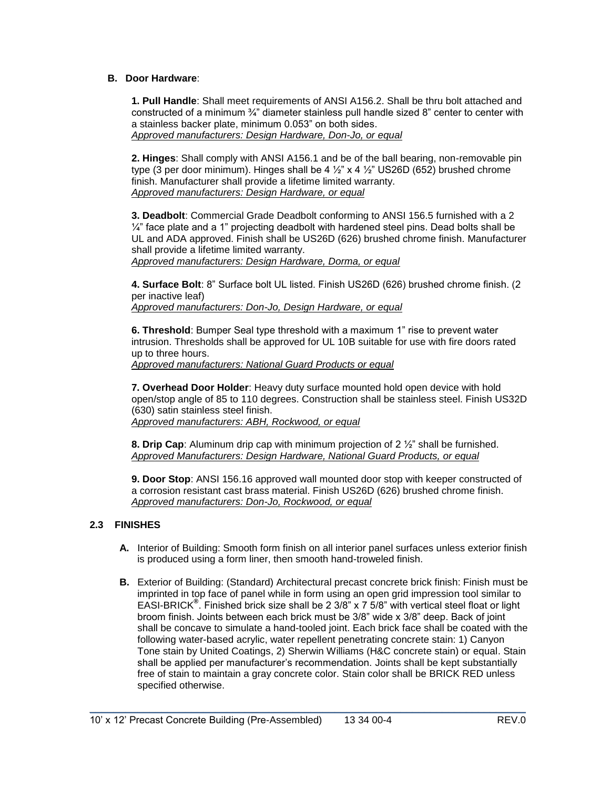### **B. Door Hardware**:

**1. Pull Handle**: Shall meet requirements of ANSI A156.2. Shall be thru bolt attached and constructed of a minimum ¾" diameter stainless pull handle sized 8" center to center with a stainless backer plate, minimum 0.053" on both sides. *Approved manufacturers: Design Hardware, Don-Jo, or equal*

**2. Hinges**: Shall comply with ANSI A156.1 and be of the ball bearing, non-removable pin type (3 per door minimum). Hinges shall be 4  $\frac{1}{2}$ " x 4  $\frac{1}{2}$ " US26D (652) brushed chrome finish. Manufacturer shall provide a lifetime limited warranty. *Approved manufacturers: Design Hardware, or equal*

**3. Deadbolt**: Commercial Grade Deadbolt conforming to ANSI 156.5 furnished with a 2  $\frac{1}{4}$ " face plate and a 1" projecting deadbolt with hardened steel pins. Dead bolts shall be UL and ADA approved. Finish shall be US26D (626) brushed chrome finish. Manufacturer shall provide a lifetime limited warranty.

*Approved manufacturers: Design Hardware, Dorma, or equal*

**4. Surface Bolt**: 8" Surface bolt UL listed. Finish US26D (626) brushed chrome finish. (2 per inactive leaf)

*Approved manufacturers: Don-Jo, Design Hardware, or equal*

**6. Threshold**: Bumper Seal type threshold with a maximum 1" rise to prevent water intrusion. Thresholds shall be approved for UL 10B suitable for use with fire doors rated up to three hours.

*Approved manufacturers: National Guard Products or equal* 

**7. Overhead Door Holder**: Heavy duty surface mounted hold open device with hold open/stop angle of 85 to 110 degrees. Construction shall be stainless steel. Finish US32D (630) satin stainless steel finish. *Approved manufacturers: ABH, Rockwood, or equal*

**8. Drip Cap**: Aluminum drip cap with minimum projection of 2 ½" shall be furnished. *Approved Manufacturers: Design Hardware, National Guard Products, or equal*

**9. Door Stop**: ANSI 156.16 approved wall mounted door stop with keeper constructed of a corrosion resistant cast brass material. Finish US26D (626) brushed chrome finish. *Approved manufacturers: Don-Jo, Rockwood, or equal*

## **2.3 FINISHES**

- **A.** Interior of Building: Smooth form finish on all interior panel surfaces unless exterior finish is produced using a form liner, then smooth hand-troweled finish.
- **B.** Exterior of Building: (Standard) Architectural precast concrete brick finish: Finish must be imprinted in top face of panel while in form using an open grid impression tool similar to EASI-BRICK**®** . Finished brick size shall be 2 3/8" x 7 5/8" with vertical steel float or light broom finish. Joints between each brick must be 3/8" wide x 3/8" deep. Back of joint shall be concave to simulate a hand-tooled joint. Each brick face shall be coated with the following water-based acrylic, water repellent penetrating concrete stain: 1) Canyon Tone stain by United Coatings, 2) Sherwin Williams (H&C concrete stain) or equal. Stain shall be applied per manufacturer's recommendation. Joints shall be kept substantially free of stain to maintain a gray concrete color. Stain color shall be BRICK RED unless specified otherwise.

\_\_\_\_\_\_\_\_\_\_\_\_\_\_\_\_\_\_\_\_\_\_\_\_\_\_\_\_\_\_\_\_\_\_\_\_\_\_\_\_\_\_\_\_\_\_\_\_\_\_\_\_\_\_\_\_\_\_\_\_\_\_\_\_\_\_\_\_\_\_\_\_\_